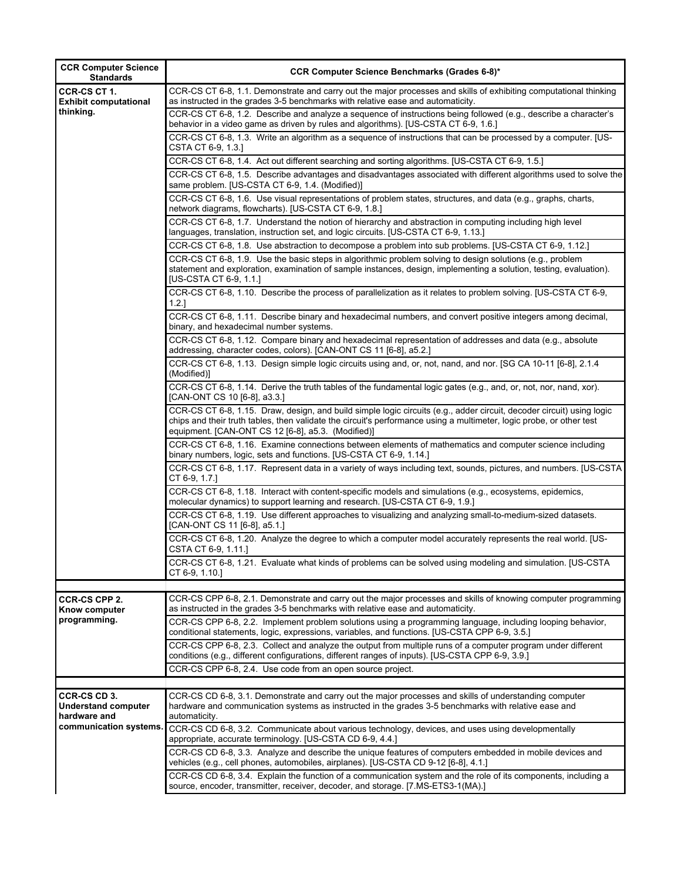| <b>CCR Computer Science</b><br><b>Standards</b>                                      | <b>CCR Computer Science Benchmarks (Grades 6-8)*</b>                                                                                                                                                                                                                                                |
|--------------------------------------------------------------------------------------|-----------------------------------------------------------------------------------------------------------------------------------------------------------------------------------------------------------------------------------------------------------------------------------------------------|
| CCR-CS CT 1.<br><b>Exhibit computational</b>                                         | CCR-CS CT 6-8, 1.1. Demonstrate and carry out the major processes and skills of exhibiting computational thinking<br>as instructed in the grades 3-5 benchmarks with relative ease and automaticity.                                                                                                |
| thinking.                                                                            | CCR-CS CT 6-8, 1.2. Describe and analyze a sequence of instructions being followed (e.g., describe a character's<br>behavior in a video game as driven by rules and algorithms). [US-CSTA CT 6-9, 1.6.]                                                                                             |
|                                                                                      | CCR-CS CT 6-8, 1.3. Write an algorithm as a sequence of instructions that can be processed by a computer. [US-<br>CSTA CT 6-9, 1.3.]                                                                                                                                                                |
|                                                                                      | CCR-CS CT 6-8, 1.4. Act out different searching and sorting algorithms. [US-CSTA CT 6-9, 1.5.]                                                                                                                                                                                                      |
|                                                                                      | CCR-CS CT 6-8, 1.5. Describe advantages and disadvantages associated with different algorithms used to solve the<br>same problem. [US-CSTA CT 6-9, 1.4. (Modified)]                                                                                                                                 |
|                                                                                      | CCR-CS CT 6-8, 1.6. Use visual representations of problem states, structures, and data (e.g., graphs, charts,<br>network diagrams, flowcharts). [US-CSTA CT 6-9, 1.8.]                                                                                                                              |
|                                                                                      | CCR-CS CT 6-8, 1.7. Understand the notion of hierarchy and abstraction in computing including high level<br>languages, translation, instruction set, and logic circuits. [US-CSTA CT 6-9, 1.13.]                                                                                                    |
|                                                                                      | CCR-CS CT 6-8, 1.8. Use abstraction to decompose a problem into sub problems. [US-CSTA CT 6-9, 1.12.]                                                                                                                                                                                               |
|                                                                                      | CCR-CS CT 6-8, 1.9. Use the basic steps in algorithmic problem solving to design solutions (e.g., problem<br>statement and exploration, examination of sample instances, design, implementing a solution, testing, evaluation).<br>[US-CSTA CT 6-9, 1.1.]                                           |
|                                                                                      | CCR-CS CT 6-8, 1.10. Describe the process of parallelization as it relates to problem solving. [US-CSTA CT 6-9,<br>1.2.1                                                                                                                                                                            |
|                                                                                      | CCR-CS CT 6-8, 1.11. Describe binary and hexadecimal numbers, and convert positive integers among decimal,<br>binary, and hexadecimal number systems.                                                                                                                                               |
|                                                                                      | CCR-CS CT 6-8, 1.12. Compare binary and hexadecimal representation of addresses and data (e.g., absolute<br>addressing, character codes, colors). [CAN-ONT CS 11 [6-8], a5.2.]                                                                                                                      |
|                                                                                      | CCR-CS CT 6-8, 1.13. Design simple logic circuits using and, or, not, nand, and nor. [SG CA 10-11 [6-8], 2.1.4<br>(Modified)]                                                                                                                                                                       |
|                                                                                      | CCR-CS CT 6-8, 1.14. Derive the truth tables of the fundamental logic gates (e.g., and, or, not, nor, nand, xor).<br>[CAN-ONT CS 10 [6-8], a3.3.]                                                                                                                                                   |
|                                                                                      | CCR-CS CT 6-8, 1.15. Draw, design, and build simple logic circuits (e.g., adder circuit, decoder circuit) using logic<br>chips and their truth tables, then validate the circuit's performance using a multimeter, logic probe, or other test<br>equipment. [CAN-ONT CS 12 [6-8], a5.3. (Modified)] |
|                                                                                      | CCR-CS CT 6-8, 1.16. Examine connections between elements of mathematics and computer science including<br>binary numbers, logic, sets and functions. [US-CSTA CT 6-9, 1.14.]                                                                                                                       |
|                                                                                      | CCR-CS CT 6-8, 1.17. Represent data in a variety of ways including text, sounds, pictures, and numbers. [US-CSTA<br>CT 6-9, 1.7.]                                                                                                                                                                   |
|                                                                                      | CCR-CS CT 6-8, 1.18. Interact with content-specific models and simulations (e.g., ecosystems, epidemics,<br>molecular dynamics) to support learning and research. [US-CSTA CT 6-9, 1.9.]                                                                                                            |
|                                                                                      | CCR-CS CT 6-8, 1.19. Use different approaches to visualizing and analyzing small-to-medium-sized datasets.<br>[CAN-ONT CS 11 [6-8], a5.1.]                                                                                                                                                          |
|                                                                                      | CCR-CS CT 6-8, 1.20. Analyze the degree to which a computer model accurately represents the real world. [US-<br>CSTA CT 6-9, 1.11.]                                                                                                                                                                 |
|                                                                                      | CCR-CS CT 6-8, 1.21. Evaluate what kinds of problems can be solved using modeling and simulation. [US-CSTA<br>CT 6-9, 1.10.]                                                                                                                                                                        |
| CCR-CS CPP 2.<br><b>Know computer</b><br>programming.                                | CCR-CS CPP 6-8, 2.1. Demonstrate and carry out the major processes and skills of knowing computer programming<br>as instructed in the grades 3-5 benchmarks with relative ease and automaticity.                                                                                                    |
|                                                                                      | CCR-CS CPP 6-8, 2.2. Implement problem solutions using a programming language, including looping behavior,<br>conditional statements, logic, expressions, variables, and functions. [US-CSTA CPP 6-9, 3.5.]                                                                                         |
|                                                                                      | CCR-CS CPP 6-8, 2.3. Collect and analyze the output from multiple runs of a computer program under different<br>conditions (e.g., different configurations, different ranges of inputs). [US-CSTA CPP 6-9, 3.9.]                                                                                    |
|                                                                                      | CCR-CS CPP 6-8, 2.4. Use code from an open source project.                                                                                                                                                                                                                                          |
|                                                                                      |                                                                                                                                                                                                                                                                                                     |
| CCR-CS CD 3.<br><b>Understand computer</b><br>hardware and<br>communication systems. | CCR-CS CD 6-8, 3.1. Demonstrate and carry out the major processes and skills of understanding computer<br>hardware and communication systems as instructed in the grades 3-5 benchmarks with relative ease and<br>automaticity.                                                                     |
|                                                                                      | CCR-CS CD 6-8, 3.2. Communicate about various technology, devices, and uses using developmentally<br>appropriate, accurate terminology. [US-CSTA CD 6-9, 4.4.]                                                                                                                                      |
|                                                                                      | CCR-CS CD 6-8, 3.3. Analyze and describe the unique features of computers embedded in mobile devices and<br>vehicles (e.g., cell phones, automobiles, airplanes). [US-CSTA CD 9-12 [6-8], 4.1.]                                                                                                     |
|                                                                                      | CCR-CS CD 6-8, 3.4. Explain the function of a communication system and the role of its components, including a<br>source, encoder, transmitter, receiver, decoder, and storage. [7.MS-ETS3-1(MA).]                                                                                                  |